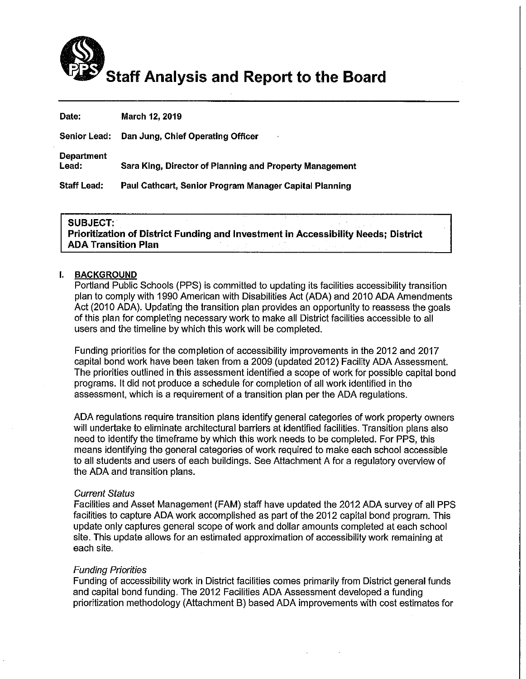

| Date:                      | March 12, 2019                                          |
|----------------------------|---------------------------------------------------------|
|                            | Senior Lead: Dan Jung, Chief Operating Officer          |
| <b>Department</b><br>Lead: | Sara King, Director of Planning and Property Management |
| Staff Lead:                | Paul Cathcart, Senior Program Manager Capital Planning  |
|                            |                                                         |

#### **SUBJECT:**

Prioritization of District Funding and Investment in Accessibility Needs; District **ADA Transition Plan** 

#### L **BACKGROUND**

Portland Public Schools (PPS) is committed to updating its facilities accessibility transition plan to comply with 1990 American with Disabilities Act (ADA) and 2010 ADA Amendments Act (2010 ADA). Updating the transition plan provides an opportunity to reassess the goals of this plan for completing necessary work to make all District facilities accessible to all users and the timeline by which this work will be completed.

Funding priorities for the completion of accessibility improvements in the 2012 and 2017 capital bond work have been taken from a 2009 (updated 2012) Facility ADA Assessment. The priorities outlined in this assessment identified a scope of work for possible capital bond programs. It did not produce a schedule for completion of all work identified in the assessment, which is a requirement of a transition plan per the ADA requlations.

ADA regulations require transition plans identify general categories of work property owners will undertake to eliminate architectural barriers at identified facilities. Transition plans also need to identify the timeframe by which this work needs to be completed. For PPS, this means identifying the general categories of work required to make each school accessible to all students and users of each buildings. See Attachment A for a regulatory overview of the ADA and transition plans.

#### **Current Status**

Facilities and Asset Management (FAM) staff have updated the 2012 ADA survey of all PPS facilities to capture ADA work accomplished as part of the 2012 capital bond program. This update only captures general scope of work and dollar amounts completed at each school site. This update allows for an estimated approximation of accessibility work remaining at each site.

#### **Funding Priorities**

Funding of accessibility work in District facilities comes primarily from District general funds and capital bond funding. The 2012 Facilities ADA Assessment developed a funding prioritization methodology (Attachment B) based ADA improvements with cost estimates for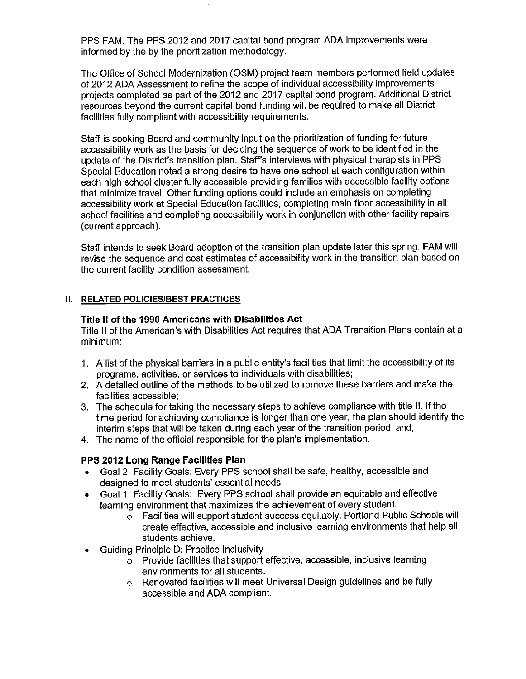PPS FAM. The PPS 2012 and 2017 capital bond program ADA improvements were informed by the by the prioritization methodology.

The Office of School Modernization (OSM) project team members performed field updates of 2012 ADA Assessment to refine the scope of individual accessibility improvements projects completed as part of the 2012 and 2017 capital bond program. Additional District resources beyond the current capital bond funding will be required to make all District facilities fully compliant with accessibility requirements.

Staff is seeking Board and community input on the prioritization of funding for future accessibility work as the basis for deciding the sequence of work to be identified in the update of the District's transition plan. Staff's interviews with physical therapists in PPS Special Education noted a strong desire to have one school at each configuration within each high school cluster fully accessible providing families with accessible facility options that minimize travel. Other funding options could include an emphasis on completing accessibility work at Special Education facilities, completing main floor accessibility in all school facilities and completing accessibility work in conjunction with other facility repairs (current approach).

Staff intends to seek Board adoption of the transition plan update later this spring. FAM will revise the sequence and cost estimates of accessibility work in the transition plan based on the current facility condition assessment.

#### II. RELATED POLICIES/BEST PRACTICES

#### Title II of the 1990 Americans with Disabilities Act

Title II of the American's with Disabilities Act requires that ADA Transition Plans contain at a minimum:

- 1. A list of the physical barriers in a public entity's facilities that limit the accessibility of its programs, activities, or services to individuals with disabilities;
- 2. A detailed outline of the methods to be utilized to remove these barriers and make the facilities accessible:
- 3. The schedule for taking the necessary steps to achieve compliance with title II. If the time period for achieving compliance is longer than one year, the plan should identify the interim steps that will be taken during each year of the transition period; and,
- 4. The name of the official responsible for the plan's implementation.

#### PPS 2012 Long Range Facilities Plan

- Goal 2, Facility Goals: Every PPS school shall be safe, healthy, accessible and designed to meet students' essential needs.
- Goal 1, Facility Goals: Every PPS school shall provide an equitable and effective learning environment that maximizes the achievement of every student.
	- o Facilities will support student success equitably. Portland Public Schools will create effective, accessible and inclusive learning environments that help all students achieve.
- Guiding Principle D: Practice Inclusivity
	- o Provide facilities that support effective, accessible, inclusive learning environments for all students.
	- o Renovated facilities will meet Universal Design guidelines and be fully accessible and ADA compliant.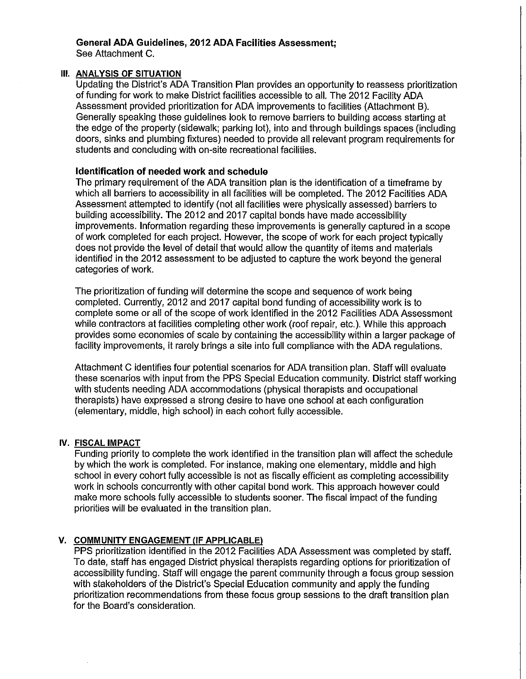#### General ADA Guidelines, 2012 ADA Facilities Assessment; See Attachment C.

## III. ANALYSIS OF SITUATION

Updating the District's ADA Transition Plan provides an opportunity to reassess prioritization of funding for work to make District facilities accessible to all. The 2012 Facility ADA Assessment provided prioritization for ADA improvements to facilities (Attachment B). Generally speaking these guidelines look to remove barriers to building access starting at the edge of the property (sidewalk; parking lot), into and through buildings spaces (including doors, sinks and plumbing fixtures) needed to provide all relevant program requirements for students and concluding with on-site recreational facilities.

### **Identification of needed work and schedule**

The primary requirement of the ADA transition plan is the identification of a timeframe by which all barriers to accessibility in all facilities will be completed. The 2012 Facilities ADA Assessment attempted to identify (not all facilities were physically assessed) barriers to building accessibility. The 2012 and 2017 capital bonds have made accessibility improvements. Information regarding these improvements is generally captured in a scope of work completed for each project. However, the scope of work for each project typically does not provide the level of detail that would allow the quantity of items and materials identified in the 2012 assessment to be adjusted to capture the work beyond the general categories of work.

The prioritization of funding will determine the scope and sequence of work being completed. Currently, 2012 and 2017 capital bond funding of accessibility work is to complete some or all of the scope of work identified in the 2012 Facilities ADA Assessment while contractors at facilities completing other work (roof repair, etc.). While this approach provides some economies of scale by containing the accessibility within a larger package of facility improvements, it rarely brings a site into full compliance with the ADA regulations.

Attachment C identifies four potential scenarios for ADA transition plan. Staff will evaluate these scenarios with input from the PPS Special Education community. District staff working with students needing ADA accommodations (physical therapists and occupational therapists) have expressed a strong desire to have one school at each configuration (elementary, middle, high school) in each cohort fully accessible.

#### IV. FISCAL IMPACT

Funding priority to complete the work identified in the transition plan will affect the schedule by which the work is completed. For instance, making one elementary, middle and high school in every cohort fully accessible is not as fiscally efficient as completing accessibility work in schools concurrently with other capital bond work. This approach however could make more schools fully accessible to students sooner. The fiscal impact of the funding priorities will be evaluated in the transition plan.

### V. COMMUNITY ENGAGEMENT (IF APPLICABLE)

PPS prioritization identified in the 2012 Facilities ADA Assessment was completed by staff. To date, staff has engaged District physical therapists regarding options for prioritization of accessibility funding. Staff will engage the parent community through a focus group session with stakeholders of the District's Special Education community and apply the funding prioritization recommendations from these focus group sessions to the draft transition plan for the Board's consideration.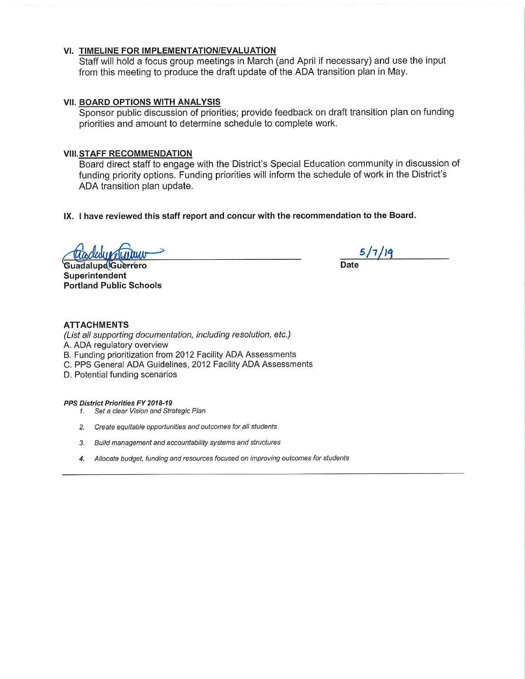#### VI. TIMELINE FOR IMPLEMENTATION/EVALUATION

Staff will hold a focus group meetings in March (and April if necessary) and use the input from this meeting to produce the draft update of the ADA transition plan in May.

#### VII. BOARD OPTIONS WITH ANALYSIS

Sponsor public discussion of priorities; provide feedback on draft transition plan on funding priorities and amount to determine schedule to complete work.

#### **VIII.STAFF RECOMMENDATION**

Board direct staff to engage with the District's Special Education community in discussion of funding priority options. Funding priorities will inform the schedule of work in the District's ADA transition plan update.

IX. I have reviewed this staff report and concur with the recommendation to the Board.

**Guadalupe Guerrero** Superintendent **Portland Public Schools** 

 $5/7/19$ **Date** 

#### **ATTACHMENTS**

(List all supporting documentation, including resolution, etc.) A. ADA regulatory overview B. Funding prioritization from 2012 Facility ADA Assessments C. PPS General ADA Guidelines, 2012 Facility ADA Assessments D. Potential funding scenarios

PPS District Priorities FY 2018-19

- 1. Set a clear Vision and Strategic Plan
- 2. Create equitable opportunities and outcomes for all students
- 3. Build management and accountability systems and structures
- 4. Allocate budget, funding and resources focused on improving outcomes for students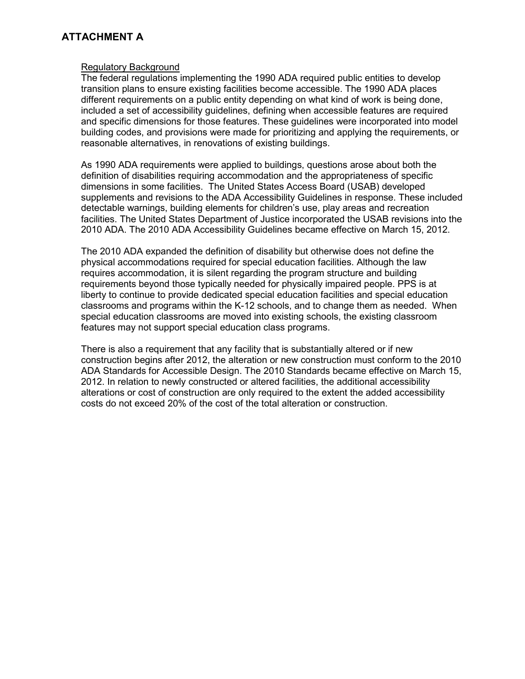# **ATTACHMENT A**

#### Regulatory Background

The federal regulations implementing the 1990 ADA required public entities to develop transition plans to ensure existing facilities become accessible. The 1990 ADA places different requirements on a public entity depending on what kind of work is being done, included a set of accessibility guidelines, defining when accessible features are required and specific dimensions for those features. These guidelines were incorporated into model building codes, and provisions were made for prioritizing and applying the requirements, or reasonable alternatives, in renovations of existing buildings.

As 1990 ADA requirements were applied to buildings, questions arose about both the definition of disabilities requiring accommodation and the appropriateness of specific dimensions in some facilities. The United States Access Board (USAB) developed supplements and revisions to the ADA Accessibility Guidelines in response. These included detectable warnings, building elements for children's use, play areas and recreation facilities. The United States Department of Justice incorporated the USAB revisions into the 2010 ADA. The 2010 ADA Accessibility Guidelines became effective on March 15, 2012.

The 2010 ADA expanded the definition of disability but otherwise does not define the physical accommodations required for special education facilities. Although the law requires accommodation, it is silent regarding the program structure and building requirements beyond those typically needed for physically impaired people. PPS is at liberty to continue to provide dedicated special education facilities and special education classrooms and programs within the K-12 schools, and to change them as needed. When special education classrooms are moved into existing schools, the existing classroom features may not support special education class programs.

There is also a requirement that any facility that is substantially altered or if new construction begins after 2012, the alteration or new construction must conform to the 2010 ADA Standards for Accessible Design. The 2010 Standards became effective on March 15, 2012. In relation to newly constructed or altered facilities, the additional accessibility alterations or cost of construction are only required to the extent the added accessibility costs do not exceed 20% of the cost of the total alteration or construction.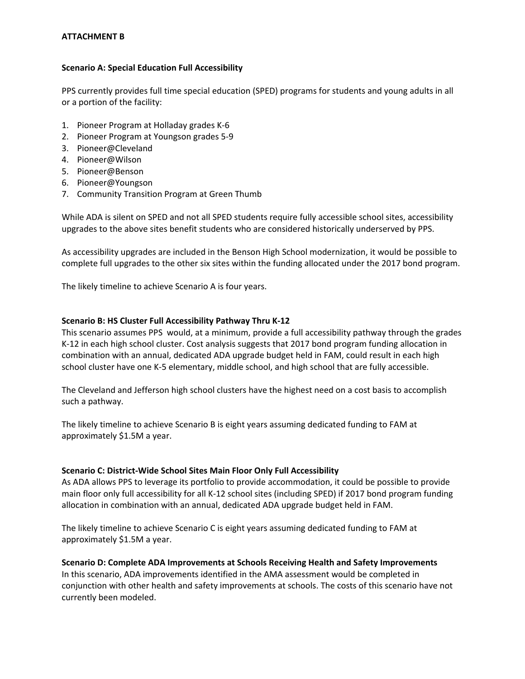#### **ATTACHMENT B**

#### **Scenario A: Special Education Full Accessibility**

PPS currently provides full time special education (SPED) programs for students and young adults in all or a portion of the facility:

- 1. Pioneer Program at Holladay grades K‐6
- 2. Pioneer Program at Youngson grades 5‐9
- 3. Pioneer@Cleveland
- 4. Pioneer@Wilson
- 5. Pioneer@Benson
- 6. Pioneer@Youngson
- 7. Community Transition Program at Green Thumb

While ADA is silent on SPED and not all SPED students require fully accessible school sites, accessibility upgrades to the above sites benefit students who are considered historically underserved by PPS.

As accessibility upgrades are included in the Benson High School modernization, it would be possible to complete full upgrades to the other six sites within the funding allocated under the 2017 bond program.

The likely timeline to achieve Scenario A is four years.

#### **Scenario B: HS Cluster Full Accessibility Pathway Thru K‐12**

This scenario assumes PPS would, at a minimum, provide a full accessibility pathway through the grades K‐12 in each high school cluster. Cost analysis suggests that 2017 bond program funding allocation in combination with an annual, dedicated ADA upgrade budget held in FAM, could result in each high school cluster have one K-5 elementary, middle school, and high school that are fully accessible.

The Cleveland and Jefferson high school clusters have the highest need on a cost basis to accomplish such a pathway.

The likely timeline to achieve Scenario B is eight years assuming dedicated funding to FAM at approximately \$1.5M a year.

#### **Scenario C: District‐Wide School Sites Main Floor Only Full Accessibility**

As ADA allows PPS to leverage its portfolio to provide accommodation, it could be possible to provide main floor only full accessibility for all K‐12 school sites (including SPED) if 2017 bond program funding allocation in combination with an annual, dedicated ADA upgrade budget held in FAM.

The likely timeline to achieve Scenario C is eight years assuming dedicated funding to FAM at approximately \$1.5M a year.

**Scenario D: Complete ADA Improvements at Schools Receiving Health and Safety Improvements** In this scenario, ADA improvements identified in the AMA assessment would be completed in conjunction with other health and safety improvements at schools. The costs of this scenario have not currently been modeled.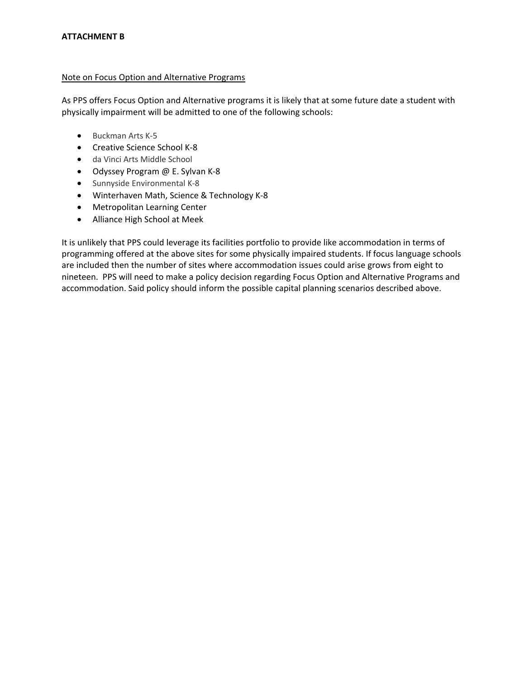#### Note on Focus Option and Alternative Programs

As PPS offers Focus Option and Alternative programs it is likely that at some future date a student with physically impairment will be admitted to one of the following schools:

- Buckman Arts K-5
- Creative Science School K-8
- da Vinci Arts Middle School
- Odyssey Program @ E. Sylvan K-8
- Sunnyside Environmental K-8
- Winterhaven Math, Science & Technology K-8
- Metropolitan Learning Center
- Alliance High School at Meek

It is unlikely that PPS could leverage its facilities portfolio to provide like accommodation in terms of programming offered at the above sites for some physically impaired students. If focus language schools are included then the number of sites where accommodation issues could arise grows from eight to nineteen. PPS will need to make a policy decision regarding Focus Option and Alternative Programs and accommodation. Said policy should inform the possible capital planning scenarios described above.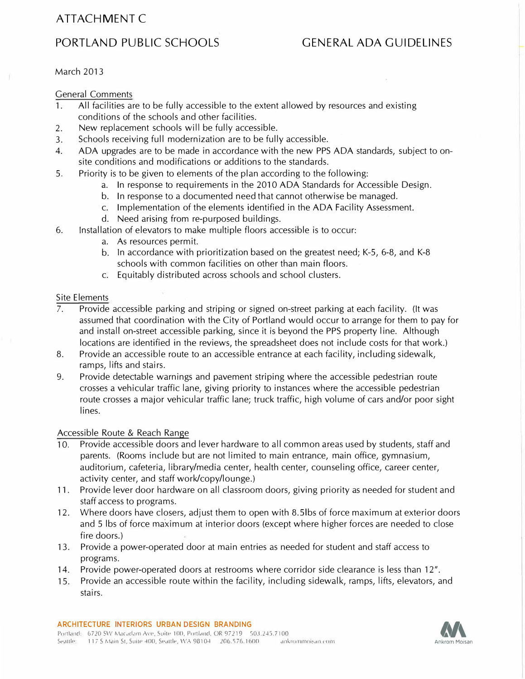# ATTACHMENT C

# PORTLAND PUBLIC SCHOOLS GENERAL ADA GUIDELINES

March 2013

General Comments

- 1. All facilities are to be fully accessible to the extent allowed by resources and existing conditions of the schools and other facilities.
- 2. New replacement schools will be fully accessible.
- 3. Schools receiving full modernization are to be fully accessible.
- 4. ADA upgrades are to be made in accordance with the new PPS ADA standards, subject to onsite conditions and modifications or additions to the standards.
- 5. Priority is to be given to elements of the plan according to the following:
	- a. In response to requirements in the 2010 ADA Standards for Accessible Design.
	- b. In response to a documented need that cannot otherwise be managed.
	- c. Implementation of the elements identified in the ADA Facility Assessment.
	- d. Need arising from re-purposed buildings.
- 6. Installation of elevators to make multiple floors accessible is to occur:
	- a. As resources permit.
	- b. In accordance with prioritization based on the greatest need; K-5, 6-8, and K-8 schools with common facilities on other than main floors.
	- c. Equitably distributed across schools and school clusters.

#### Site Elements

- 7. Provide accessible parking and striping or signed on-street parking at each facility. (It was assumed that coordination with the City of Portland would occur to arrange for them to pay for and install on-street accessible parking, since it is beyond the PPS property line. Although locations are identified in the reviews, the spreadsheet does not include costs for that work.)
- 8. Provide an accessible route to an accessible entrance at each facility, including sidewalk, ramps, lifts and stairs.
- 9. Provide detectable warnings and pavement striping where the accessible pedestrian route crosses a vehicular traffic lane, giving priority to instances where the accessible pedestrian route crosses a major vehicular traffic lane; truck traffic, high volume of cars and/or poor sight lines.

#### Accessible Route & Reach Range

- 10. Provide accessible doors and lever hardware to all common areas used by students, staff and parents. (Rooms include but are not limited to main entrance, main office, gymnasium, auditorium, cafeteria, library/media center, health center, counseling office, career center, activity center, and staff work/copy/lounge.)
- 11. Provide lever door hardware on all classroom doors, giving priority as needed for student and staff access to programs.
- 12. Where doors have closers, adjust them to open with 8.Slbs of force maximum at exterior doors and 5 lbs of force maximum at interior doors (except where higher forces are needed to close fire doors.)
- 13. Provide a power-operated door at main entries as needed for student and staff access to programs.
- 14. Provide power-operated doors at restrooms where corridor side clearance is less than 12".
- 15. Provide an accessible route within the facility, including sidewalk, ramps, lifts, elevators, and stairs.

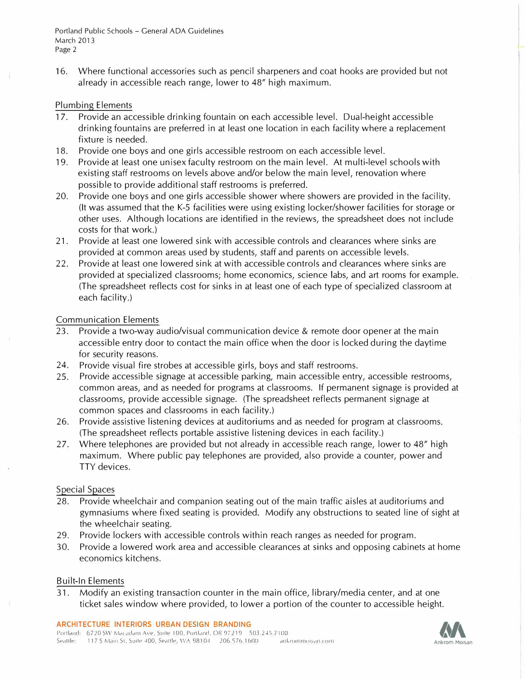16. Where functional accessories such as pencil sharpeners and coat hooks are provided but not already in accessible reach range, lower to 48" high maximum.

#### Plumbing Elements

- 17. Provide an accessible drinking fountain on each accessible level. Dual-height accessible drinking fountains are preferred in at least one location in each facility where a replacement fixture is needed.
- 18. Provide one boys and one girls accessible restroom on each accessible level.
- 19. Provide at least one unisex faculty restroom on the main level. At multi-level schools with existing staff restrooms on levels above and/or below the main level, renovation where possible to provide additional staff restrooms is preferred.
- 20. Provide one boys and one girls accessible shower where showers are provided in the facility. (It was assumed that the K-5 facilities were using existing locker/shower facilities for storage or other uses. Although locations are identified in the reviews, the spreadsheet does not include costs for that work.)
- 21. Provide at least one lowered sink with accessible controls and clearances where sinks are provided at common areas used by students, staff and parents on accessible levels.
- 22. Provide at least one lowered sink at with accessible controls and clearances where sinks are provided at specialized classrooms; home economics, science labs, and art rooms for example. (The spreadsheet reflects cost for sinks in at least one of each type of specialized classroom at each facility.)

#### Communication Elements

- 23. Provide a two-way audio/visual communication device & remote door opener at the main accessible entry door to contact the main office when the door is locked during the daytime for security reasons.
- 24. Provide visual fire strobes at accessible girls, boys and staff restrooms.
- 25. Provide accessible signage at accessible parking, main accessible entry, accessible restrooms, common areas, and as needed for programs at classrooms. If permanent signage is provided at classrooms, provide accessible signage. (The spreadsheet reflects permanent signage at common spaces and classrooms in each facility.)
- 26. Provide assistive listening devices at auditoriums and as needed for program at classrooms. (The spreadsheet reflects portable assistive listening devices in each facility.)
- 27. Where telephones are provided but not already in accessible reach range, lower to 48" high maximum. Where public pay telephones are provided, also provide a counter, power and TTY devices.

#### Special Spaces

- 28. Provide wheelchair and companion seating out of the main traffic aisles at auditoriums and gymnasiums where fixed seating is provided. Modify any obstructions to seated line of sight at the wheelchair seating.
- 29. Provide lockers with accessible controls within reach ranges as needed for program.
- 30. Provide a lowered work area and accessible clearances at sinks and opposing cabinets at home economics kitchens.

#### Built-In Elements

31. Modify an existing transaction counter in the main office, library/media center, and at one ticket sales window where provided, to lower a portion of the counter to accessible height.

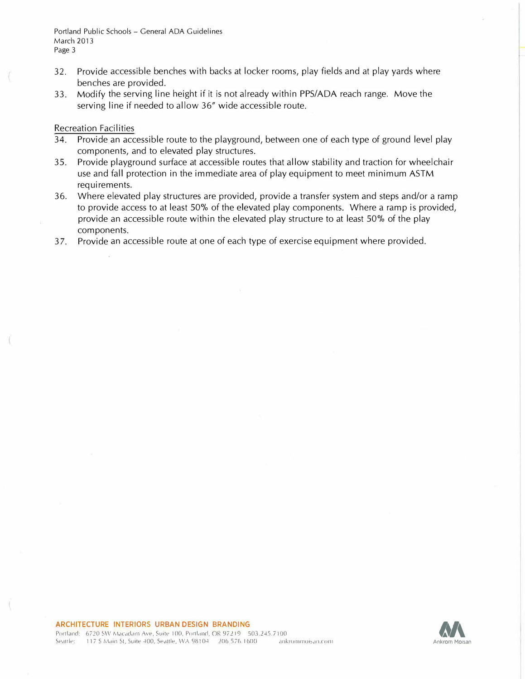Portland Public Schools - General ADA Guidelines March 2013 Page 3

- 32. Provide accessible benches with backs at locker rooms, play fields and at play yards where benches are provided.
- 33. Modify the serving line height if it is not already within PPS/ADA reach range. Move the serving line if needed to allow 36" wide accessible route.

#### Recreation Facilities

- 34. Provide an accessible route to the playground, between one of each type of ground level play components, and to elevated play structures.
- 35. Provide playground surface at accessible routes that allow stability and traction for wheelchair use and fall protection in the immediate area of play equipment to meet minimum ASTM requirements.
- 36. Where elevated play structures are provided, provide a transfer system and steps and/or a ramp to provide access to at least 50% of the elevated play components. Where a ramp is provided, provide an accessible route within the elevated play structure to at least 50% of the play components.
- 37. Provide an accessible route at one of each type of exercise equipment where provided.